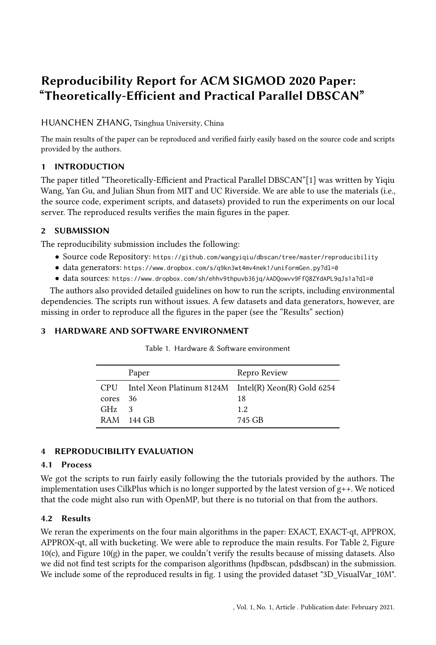# Reproducibility Report for ACM SIGMOD 2020 Paper: "Theoretically-Efficient and Practical Parallel DBSCAN"

# HUANCHEN ZHANG, Tsinghua University, China

The main results of the paper can be reproduced and verified fairly easily based on the source code and scripts provided by the authors.

# 1 INTRODUCTION

The paper titled "Theoretically-Efficient and Practical Parallel DBSCAN"[\[1\]](#page-1-0) was written by Yiqiu Wang, Yan Gu, and Julian Shun from MIT and UC Riverside. We are able to use the materials (i.e., the source code, experiment scripts, and datasets) provided to run the experiments on our local server. The reproduced results verifies the main figures in the paper.

## 2 SUBMISSION

The reproducibility submission includes the following:

- Source code Repository: <https://github.com/wangyiqiu/dbscan/tree/master/reproducibility>
- data generators: <https://www.dropbox.com/s/q9kn3wt4mv4nek1/uniformGen.py?dl=0>
- data sources: <https://www.dropbox.com/sh/ehhv9thpuvb36jq/AADQowvv9FfQ8ZYdAPL9qJs1a?dl=0>

The authors also provided detailed guidelines on how to run the scripts, including environmental dependencies. The scripts run without issues. A few datasets and data generators, however, are missing in order to reproduce all the figures in the paper (see the "Results" section)

## 3 HARDWARE AND SOFTWARE ENVIRONMENT

|            | Paper                                                    | Repro Review |
|------------|----------------------------------------------------------|--------------|
|            | CPU Intel Xeon Platinum 8124M Intel(R) Xeon(R) Gold 6254 |              |
| cores      | - 36                                                     | 18           |
| GHz        | 3                                                        | 1.2.         |
| <b>RAM</b> | - 144 GB                                                 | 745 GB       |

Table 1. Hardware & Software environment

# 4 REPRODUCIBILITY EVALUATION

## 4.1 Process

We got the scripts to run fairly easily following the the tutorials provided by the authors. The implementation uses CilkPlus which is no longer supported by the latest version of  $g_{++}$ . We noticed that the code might also run with OpenMP, but there is no tutorial on that from the authors.

## 4.2 Results

We reran the experiments on the four main algorithms in the paper: EXACT, EXACT-qt, APPROX, APPROX-qt, all with bucketing. We were able to reproduce the main results. For Table 2, Figure 10(c), and Figure 10(g) in the paper, we couldn't verify the results because of missing datasets. Also we did not find test scripts for the comparison algorithms (hpdbscan, pdsdbscan) in the submission. We include some of the reproduced results in fig. [1](#page-1-1) using the provided dataset "3D\_VisualVar\_10M".